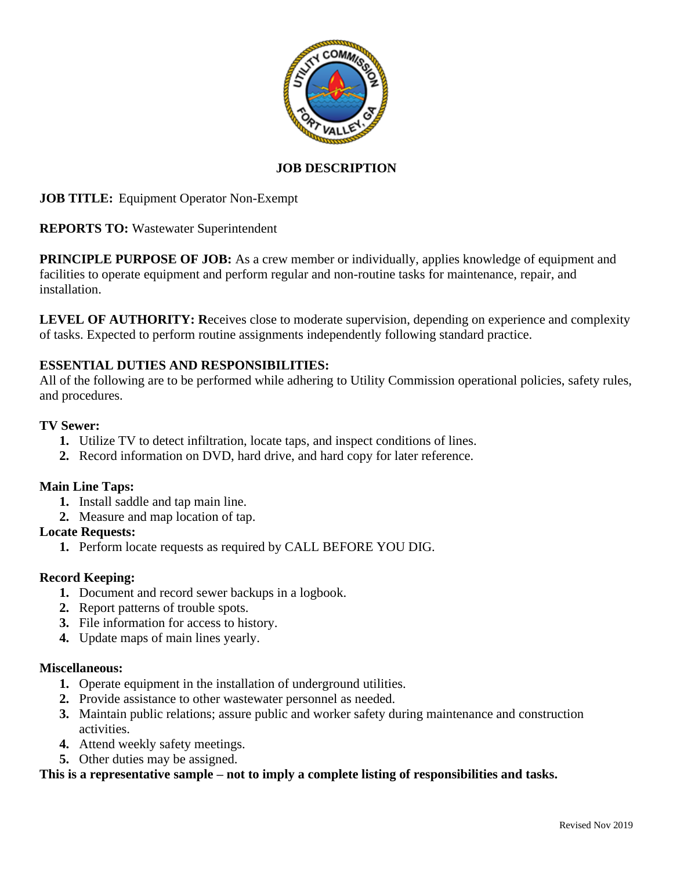

# **JOB DESCRIPTION**

**JOB TITLE:** Equipment Operator Non-Exempt

**REPORTS TO:** Wastewater Superintendent

**PRINCIPLE PURPOSE OF JOB:** As a crew member or individually, applies knowledge of equipment and facilities to operate equipment and perform regular and non-routine tasks for maintenance, repair, and installation.

LEVEL OF AUTHORITY: Receives close to moderate supervision, depending on experience and complexity of tasks. Expected to perform routine assignments independently following standard practice.

# **ESSENTIAL DUTIES AND RESPONSIBILITIES:**

All of the following are to be performed while adhering to Utility Commission operational policies, safety rules, and procedures.

## **TV Sewer:**

- **1.** Utilize TV to detect infiltration, locate taps, and inspect conditions of lines.
- **2.** Record information on DVD, hard drive, and hard copy for later reference.

# **Main Line Taps:**

- **1.** Install saddle and tap main line.
- **2.** Measure and map location of tap.

# **Locate Requests:**

**1.** Perform locate requests as required by CALL BEFORE YOU DIG.

# **Record Keeping:**

- **1.** Document and record sewer backups in a logbook.
- **2.** Report patterns of trouble spots.
- **3.** File information for access to history.
- **4.** Update maps of main lines yearly.

### **Miscellaneous:**

- **1.** Operate equipment in the installation of underground utilities.
- **2.** Provide assistance to other wastewater personnel as needed.
- **3.** Maintain public relations; assure public and worker safety during maintenance and construction activities.
- **4.** Attend weekly safety meetings.
- **5.** Other duties may be assigned.

### **This is a representative sample – not to imply a complete listing of responsibilities and tasks.**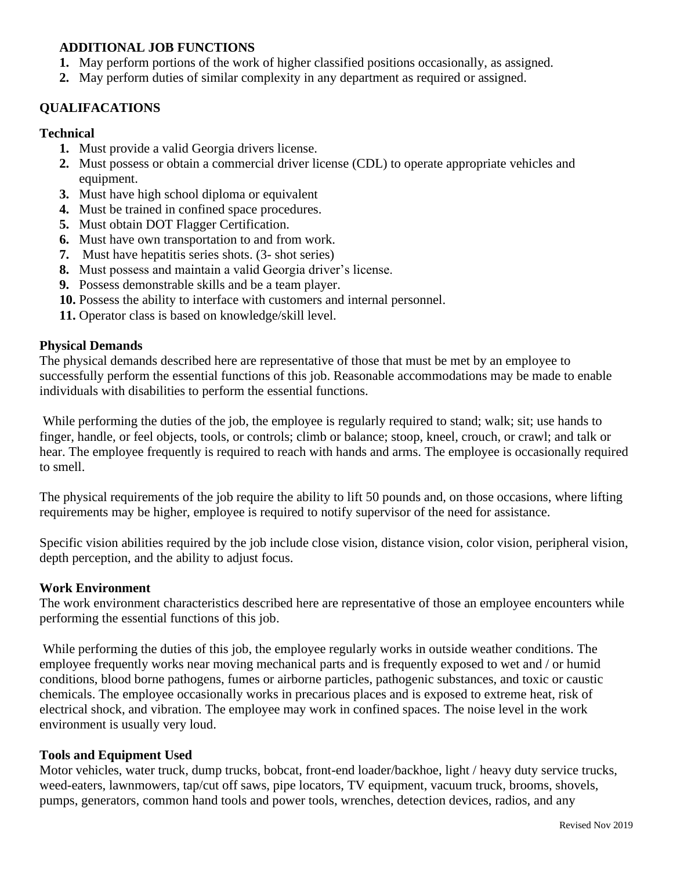## **ADDITIONAL JOB FUNCTIONS**

- **1.** May perform portions of the work of higher classified positions occasionally, as assigned.
- **2.** May perform duties of similar complexity in any department as required or assigned.

## **QUALIFACATIONS**

#### **Technical**

- **1.** Must provide a valid Georgia drivers license.
- **2.** Must possess or obtain a commercial driver license (CDL) to operate appropriate vehicles and equipment.
- **3.** Must have high school diploma or equivalent
- **4.** Must be trained in confined space procedures.
- **5.** Must obtain DOT Flagger Certification.
- **6.** Must have own transportation to and from work.
- **7.** Must have hepatitis series shots. (3- shot series)
- **8.** Must possess and maintain a valid Georgia driver's license.
- **9.** Possess demonstrable skills and be a team player.
- **10.** Possess the ability to interface with customers and internal personnel.
- **11.** Operator class is based on knowledge/skill level.

#### **Physical Demands**

The physical demands described here are representative of those that must be met by an employee to successfully perform the essential functions of this job. Reasonable accommodations may be made to enable individuals with disabilities to perform the essential functions.

While performing the duties of the job, the employee is regularly required to stand; walk; sit; use hands to finger, handle, or feel objects, tools, or controls; climb or balance; stoop, kneel, crouch, or crawl; and talk or hear. The employee frequently is required to reach with hands and arms. The employee is occasionally required to smell.

The physical requirements of the job require the ability to lift 50 pounds and, on those occasions, where lifting requirements may be higher, employee is required to notify supervisor of the need for assistance.

Specific vision abilities required by the job include close vision, distance vision, color vision, peripheral vision, depth perception, and the ability to adjust focus.

#### **Work Environment**

The work environment characteristics described here are representative of those an employee encounters while performing the essential functions of this job.

While performing the duties of this job, the employee regularly works in outside weather conditions. The employee frequently works near moving mechanical parts and is frequently exposed to wet and / or humid conditions, blood borne pathogens, fumes or airborne particles, pathogenic substances, and toxic or caustic chemicals. The employee occasionally works in precarious places and is exposed to extreme heat, risk of electrical shock, and vibration. The employee may work in confined spaces. The noise level in the work environment is usually very loud.

### **Tools and Equipment Used**

Motor vehicles, water truck, dump trucks, bobcat, front-end loader/backhoe, light / heavy duty service trucks, weed-eaters, lawnmowers, tap/cut off saws, pipe locators, TV equipment, vacuum truck, brooms, shovels, pumps, generators, common hand tools and power tools, wrenches, detection devices, radios, and any